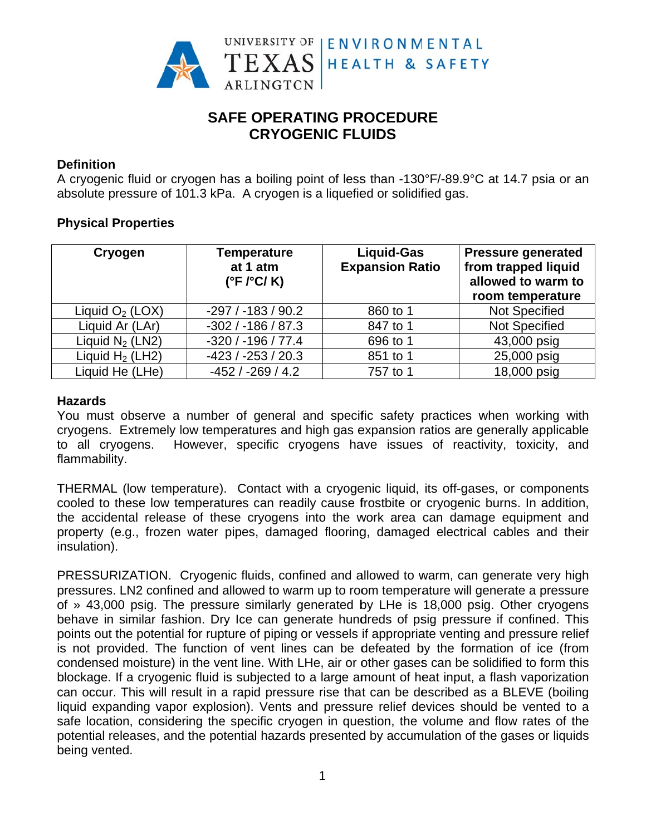

# **SAFE OPERATING PROCEDURE CRYOGENIC FLUIDS**

## **Definition**

A cryogenic fluid or cryogen has a boiling point of less than -130°F/-89.9°C at 14.7 psia or an absolute pressure of 101.3 kPa. A cryogen is a liquefied or solidified gas.

### **Physical Properties**

| Cryogen            | <b>Temperature</b><br>at 1 atm<br>$(^{\circ}F$ / $^{\circ}C$ /K) | <b>Liquid-Gas</b><br><b>Expansion Ratio</b> | <b>Pressure generated</b><br>from trapped liquid<br>allowed to warm to<br>room temperature |
|--------------------|------------------------------------------------------------------|---------------------------------------------|--------------------------------------------------------------------------------------------|
| Liquid $O_2$ (LOX) | $-297/ -183/ 90.2$                                               | 860 to 1                                    | <b>Not Specified</b>                                                                       |
| Liquid Ar (LAr)    | $-302/ -186/ 87.3$                                               | 847 to 1                                    | <b>Not Specified</b>                                                                       |
| Liquid $N_2$ (LN2) | $-320/ -196/77.4$                                                | 696 to 1                                    | 43,000 psig                                                                                |
| Liquid $H_2$ (LH2) | $-423/ -253/ 20.3$                                               | 851 to 1                                    | 25,000 psig                                                                                |
| Liquid He (LHe)    | $-452/ -269/ 4.2$                                                | 757 to 1                                    | 18,000 psig                                                                                |

#### **Hazards**

You must observe a number of general and specific safety practices when working with cryogens. Extremely low temperatures and high gas expansion ratios are generally applicable However, specific cryogens have issues of reactivity, toxicity, and to all cryogens. flammability.

THERMAL (low temperature). Contact with a cryogenic liquid, its off-gases, or components cooled to these low temperatures can readily cause frostbite or cryogenic burns. In addition, the accidental release of these cryogens into the work area can damage equipment and property (e.g., frozen water pipes, damaged flooring, damaged electrical cables and their insulation).

PRESSURIZATION. Cryogenic fluids, confined and allowed to warm, can generate very high pressures. LN2 confined and allowed to warm up to room temperature will generate a pressure of » 43,000 psig. The pressure similarly generated by LHe is 18,000 psig. Other cryogens behave in similar fashion. Dry Ice can generate hundreds of psig pressure if confined. This points out the potential for rupture of piping or vessels if appropriate venting and pressure relief is not provided. The function of vent lines can be defeated by the formation of ice (from condensed moisture) in the vent line. With LHe, air or other gases can be solidified to form this blockage. If a cryogenic fluid is subjected to a large amount of heat input, a flash vaporization can occur. This will result in a rapid pressure rise that can be described as a BLEVE (boiling liquid expanding vapor explosion). Vents and pressure relief devices should be vented to a safe location, considering the specific cryogen in question, the volume and flow rates of the potential releases, and the potential hazards presented by accumulation of the gases or liquids being vented.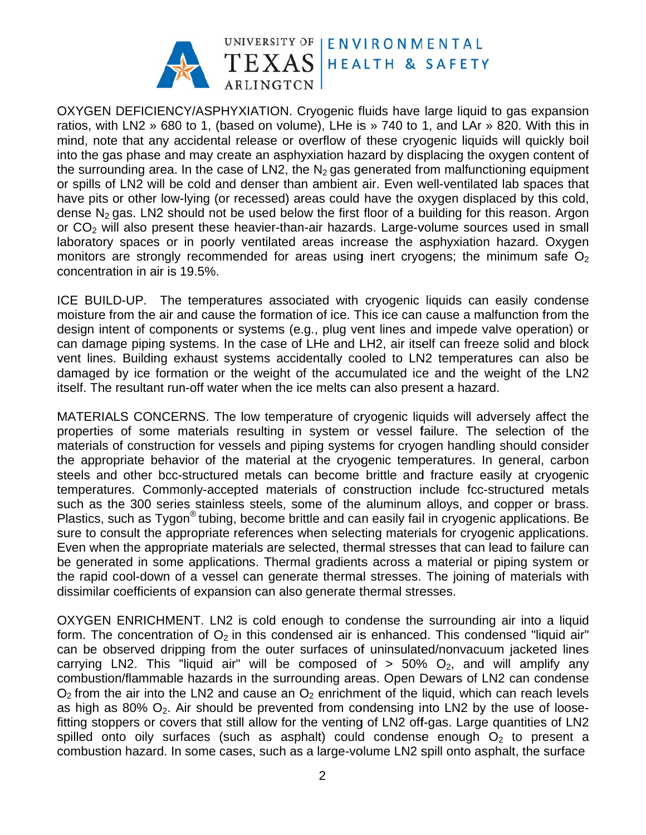

OXYGEN DEFICIENCY/ASPHYXIATION. Cryogenic fluids have large liquid to gas expansion ratios, with LN2 » 680 to 1, (based on volume), LHe is » 740 to 1, and LAr » 820. With this in mind, note that any accidental release or overflow of these cryogenic liquids will quickly boil into the gas phase and may create an asphyxiation hazard by displacing the oxygen content of the surrounding area. In the case of LN2, the  $N<sub>2</sub>$  gas generated from malfunctioning equipment or spills of LN2 will be cold and denser than ambient air. Even well-ventilated lab spaces that have pits or other low-lying (or recessed) areas could have the oxygen displaced by this cold, dense  $N_2$  gas. LN2 should not be used below the first floor of a building for this reason. Argon or CO<sub>2</sub> will also present these heavier-than-air hazards. Large-volume sources used in small laboratory spaces or in poorly ventilated areas increase the asphyxiation hazard. Oxygen monitors are strongly recommended for areas using inert cryogens; the minimum safe O<sub>2</sub> concentration in air is 19.5%.

ICE BUILD-UP. The temperatures associated with cryogenic liquids can easily condense moisture from the air and cause the formation of ice. This ice can cause a malfunction from the design intent of components or systems (e.g., plug vent lines and impede valve operation) or can damage piping systems. In the case of LHe and LH2, air itself can freeze solid and block vent lines. Building exhaust systems accidentally cooled to LN2 temperatures can also be damaged by ice formation or the weight of the accumulated ice and the weight of the LN2 itself. The resultant run-off water when the ice melts can also present a hazard.

MATERIALS CONCERNS. The low temperature of cryogenic liquids will adversely affect the properties of some materials resulting in system or vessel failure. The selection of the materials of construction for vessels and piping systems for cryogen handling should consider the appropriate behavior of the material at the cryogenic temperatures. In general, carbon steels and other bcc-structured metals can become brittle and fracture easily at cryogenic temperatures. Commonly-accepted materials of construction include fcc-structured metals such as the 300 series stainless steels, some of the aluminum alloys, and copper or brass. Plastics, such as Tygon® tubing, become brittle and can easily fail in cryogenic applications. Be sure to consult the appropriate references when selecting materials for cryogenic applications. Even when the appropriate materials are selected, thermal stresses that can lead to failure can be generated in some applications. Thermal gradients across a material or piping system or the rapid cool-down of a vessel can generate thermal stresses. The joining of materials with dissimilar coefficients of expansion can also generate thermal stresses.

OXYGEN ENRICHMENT. LN2 is cold enough to condense the surrounding air into a liquid form. The concentration of  $O_2$  in this condensed air is enhanced. This condensed "liquid air" can be observed dripping from the outer surfaces of uninsulated/nonvacuum jacketed lines carrying LN2. This "liquid air" will be composed of  $> 50\%$  O<sub>2</sub>, and will amplify any combustion/flammable hazards in the surrounding areas. Open Dewars of LN2 can condense  $O<sub>2</sub>$  from the air into the LN2 and cause an  $O<sub>2</sub>$  enrichment of the liquid, which can reach levels as high as 80%  $O_2$ . Air should be prevented from condensing into LN2 by the use of loosefitting stoppers or covers that still allow for the venting of LN2 off-gas. Large quantities of LN2 spilled onto oily surfaces (such as asphalt) could condense enough  $O<sub>2</sub>$  to present a combustion hazard. In some cases, such as a large-volume LN2 spill onto asphalt, the surface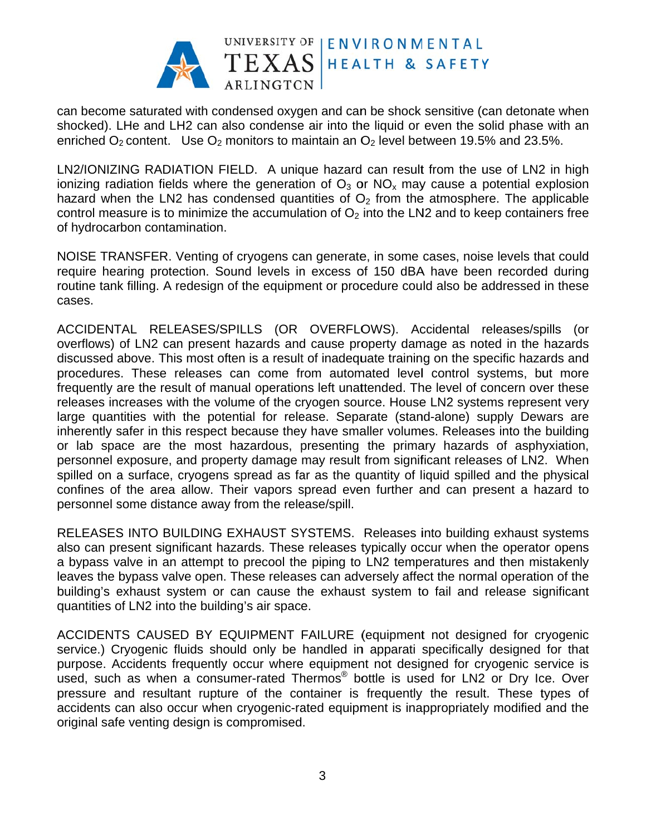

can become saturated with condensed oxygen and can be shock sensitive (can detonate when shocked). LHe and LH2 can also condense air into the liquid or even the solid phase with an enriched  $O_2$  content. Use  $O_2$  monitors to maintain an  $O_2$  level between 19.5% and 23.5%.

LN2/IONIZING RADIATION FIELD. A unique hazard can result from the use of LN2 in high ionizing radiation fields where the generation of  $O_3$  or  $NO_x$  may cause a potential explosion hazard when the LN2 has condensed quantities of  $O<sub>2</sub>$  from the atmosphere. The applicable control measure is to minimize the accumulation of  $O<sub>2</sub>$  into the LN2 and to keep containers free of hydrocarbon contamination.

NOISE TRANSFER. Venting of cryogens can generate, in some cases, noise levels that could require hearing protection. Sound levels in excess of 150 dBA have been recorded during routine tank filling. A redesign of the equipment or procedure could also be addressed in these cases.

ACCIDENTAL RELEASES/SPILLS (OR OVERFLOWS). Accidental releases/spills (or overflows) of LN2 can present hazards and cause property damage as noted in the hazards discussed above. This most often is a result of inadequate training on the specific hazards and procedures. These releases can come from automated level control systems, but more frequently are the result of manual operations left unattended. The level of concern over these releases increases with the volume of the cryogen source. House LN2 systems represent very large quantities with the potential for release. Separate (stand-alone) supply Dewars are inherently safer in this respect because they have smaller volumes. Releases into the building or lab space are the most hazardous, presenting the primary hazards of asphyxiation, personnel exposure, and property damage may result from significant releases of LN2. When spilled on a surface, cryogens spread as far as the quantity of liquid spilled and the physical confines of the area allow. Their vapors spread even further and can present a hazard to personnel some distance away from the release/spill.

RELEASES INTO BUILDING EXHAUST SYSTEMS. Releases into building exhaust systems also can present significant hazards. These releases typically occur when the operator opens a bypass valve in an attempt to precool the piping to LN2 temperatures and then mistakenly leaves the bypass valve open. These releases can adversely affect the normal operation of the building's exhaust system or can cause the exhaust system to fail and release significant quantities of LN2 into the building's air space.

ACCIDENTS CAUSED BY EQUIPMENT FAILURE (equipment not designed for cryogenic service.) Cryogenic fluids should only be handled in apparati specifically designed for that purpose. Accidents frequently occur where equipment not designed for cryogenic service is used, such as when a consumer-rated Thermos<sup>®</sup> bottle is used for LN2 or Dry Ice. Over pressure and resultant rupture of the container is frequently the result. These types of accidents can also occur when cryogenic-rated equipment is inappropriately modified and the original safe venting design is compromised.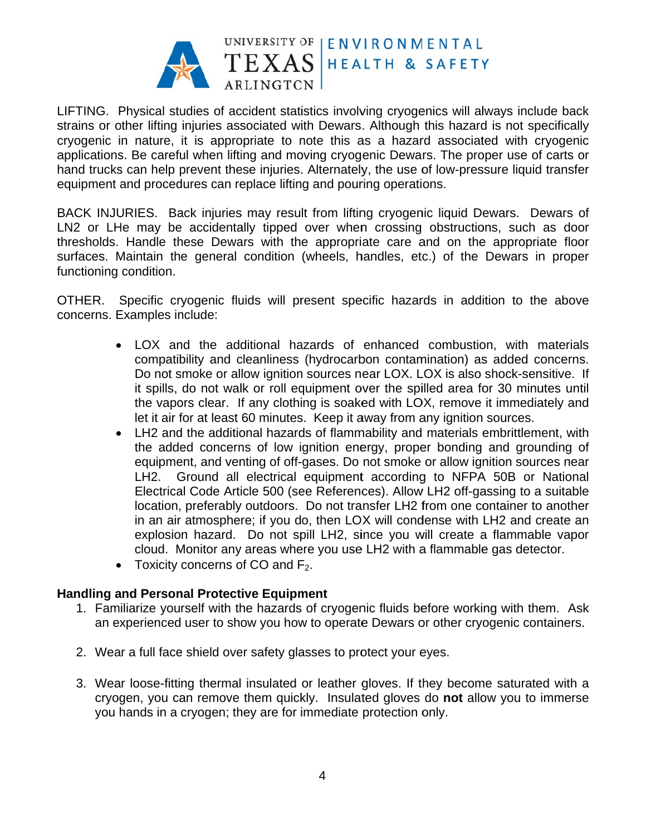

LIFTING. Physical studies of accident statistics involving cryogenics will always include back strains or other lifting injuries associated with Dewars. Although this hazard is not specifically cryogenic in nature, it is appropriate to note this as a hazard associated with cryogenic applications. Be careful when lifting and moving cryogenic Dewars. The proper use of carts or hand trucks can help prevent these iniuries. Alternately, the use of low-pressure liquid transfer equipment and procedures can replace lifting and pouring operations.

BACK INJURIES. Back injuries may result from lifting cryogenic liquid Dewars. Dewars of LN2 or LHe may be accidentally tipped over when crossing obstructions, such as door thresholds. Handle these Dewars with the appropriate care and on the appropriate floor surfaces. Maintain the general condition (wheels, handles, etc.) of the Dewars in proper functioning condition.

OTHER. Specific cryogenic fluids will present specific hazards in addition to the above concerns. Examples include:

- LOX and the additional hazards of enhanced combustion, with materials compatibility and cleanliness (hydrocarbon contamination) as added concerns. Do not smoke or allow ignition sources near LOX. LOX is also shock-sensitive. If it spills, do not walk or roll equipment over the spilled area for 30 minutes until the vapors clear. If any clothing is soaked with LOX, remove it immediately and let it air for at least 60 minutes. Keep it away from any ignition sources.
- LH2 and the additional hazards of flammability and materials embrittlement, with the added concerns of low ignition energy, proper bonding and grounding of equipment, and venting of off-gases. Do not smoke or allow ignition sources near Ground all electrical equipment according to NFPA 50B or National  $LH2.$ Electrical Code Article 500 (see References). Allow LH2 off-gassing to a suitable location, preferably outdoors. Do not transfer LH2 from one container to another in an air atmosphere; if you do, then LOX will condense with LH2 and create an explosion hazard. Do not spill LH2, since you will create a flammable vapor cloud. Monitor any areas where you use LH2 with a flammable gas detector.
- Toxicity concerns of CO and  $F_2$ .

#### **Handling and Personal Protective Equipment**

- 1. Familiarize yourself with the hazards of cryogenic fluids before working with them. Ask an experienced user to show you how to operate Dewars or other cryogenic containers.
- 2. Wear a full face shield over safety glasses to protect your eyes.
- 3. Wear loose-fitting thermal insulated or leather gloves. If they become saturated with a cryogen, you can remove them quickly. Insulated gloves do not allow you to immerse you hands in a cryogen; they are for immediate protection only.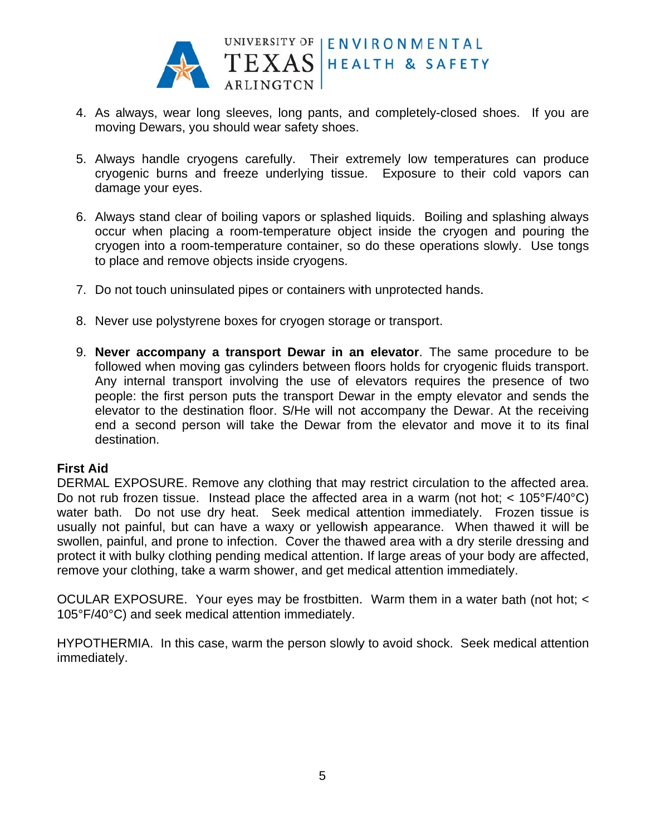

- 4. As always, wear long sleeves, long pants, and completely-closed shoes. If you are moving Dewars, you should wear safety shoes.
- 5. Always handle cryogens carefully. Their extremely low temperatures can produce cryogenic burns and freeze underlying tissue. Exposure to their cold vapors can damage your eyes.
- 6. Always stand clear of boiling vapors or splashed liquids. Boiling and splashing always occur when placing a room-temperature object inside the cryogen and pouring the cryogen into a room-temperature container, so do these operations slowly. Use tongs to place and remove objects inside cryogens.
- 7. Do not touch uninsulated pipes or containers with unprotected hands.
- 8. Never use polystyrene boxes for cryogen storage or transport.
- 9. Never accompany a transport Dewar in an elevator. The same procedure to be followed when moving gas cylinders between floors holds for cryogenic fluids transport. Any internal transport involving the use of elevators requires the presence of two people: the first person puts the transport Dewar in the empty elevator and sends the elevator to the destination floor. S/He will not accompany the Dewar. At the receiving end a second person will take the Dewar from the elevator and move it to its final destination.

#### **First Aid**

DERMAL EXPOSURE. Remove any clothing that may restrict circulation to the affected area. Do not rub frozen tissue. Instead place the affected area in a warm (not hot;  $<$  105°F/40°C) water bath. Do not use dry heat. Seek medical attention immediately. Frozen tissue is usually not painful, but can have a waxy or yellowish appearance. When thawed it will be swollen, painful, and prone to infection. Cover the thawed area with a dry sterile dressing and protect it with bulky clothing pending medical attention. If large areas of your body are affected, remove your clothing, take a warm shower, and get medical attention immediately.

OCULAR EXPOSURE. Your eyes may be frostbitten. Warm them in a water bath (not hot; < 105°F/40°C) and seek medical attention immediately.

HYPOTHERMIA. In this case, warm the person slowly to avoid shock. Seek medical attention immediately.